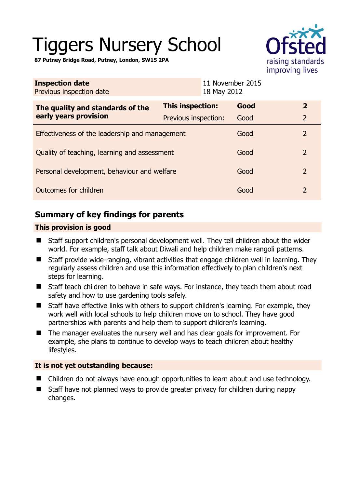# Tiggers Nursery School



**87 Putney Bridge Road, Putney, London, SW15 2PA** 

| <b>Inspection date</b><br>Previous inspection date        | 18 May 2012             | 11 November 2015 |                          |
|-----------------------------------------------------------|-------------------------|------------------|--------------------------|
| The quality and standards of the<br>early years provision | <b>This inspection:</b> | Good             | $\mathbf{2}$             |
|                                                           | Previous inspection:    | Good             | $\overline{2}$           |
| Effectiveness of the leadership and management            |                         | Good             | $\overline{2}$           |
| Quality of teaching, learning and assessment              |                         | Good             | $\overline{\phantom{0}}$ |
| Personal development, behaviour and welfare               |                         | Good             | $\overline{2}$           |
| Outcomes for children                                     |                         | Good             | $\overline{2}$           |

# **Summary of key findings for parents**

## **This provision is good**

- Staff support children's personal development well. They tell children about the wider world. For example, staff talk about Diwali and help children make rangoli patterns.
- Staff provide wide-ranging, vibrant activities that engage children well in learning. They regularly assess children and use this information effectively to plan children's next steps for learning.
- Staff teach children to behave in safe ways. For instance, they teach them about road safety and how to use gardening tools safely.
- Staff have effective links with others to support children's learning. For example, they work well with local schools to help children move on to school. They have good partnerships with parents and help them to support children's learning.
- The manager evaluates the nursery well and has clear goals for improvement. For example, she plans to continue to develop ways to teach children about healthy lifestyles.

## **It is not yet outstanding because:**

- Children do not always have enough opportunities to learn about and use technology.
- Staff have not planned ways to provide greater privacy for children during nappy changes.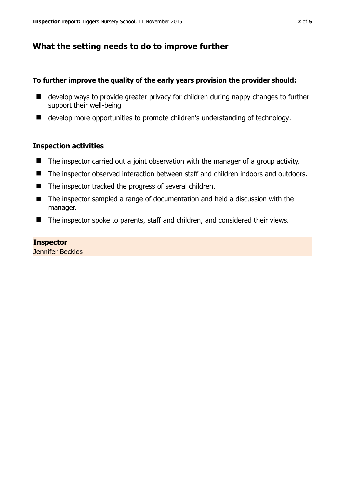# **What the setting needs to do to improve further**

#### **To further improve the quality of the early years provision the provider should:**

- develop ways to provide greater privacy for children during nappy changes to further support their well-being
- develop more opportunities to promote children's understanding of technology.

#### **Inspection activities**

- The inspector carried out a joint observation with the manager of a group activity.
- The inspector observed interaction between staff and children indoors and outdoors.
- The inspector tracked the progress of several children.
- The inspector sampled a range of documentation and held a discussion with the manager.
- The inspector spoke to parents, staff and children, and considered their views.

#### **Inspector**

Jennifer Beckles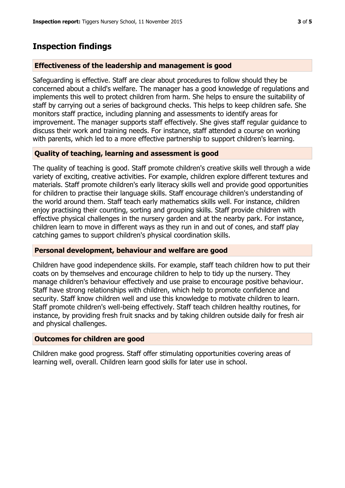# **Inspection findings**

## **Effectiveness of the leadership and management is good**

Safeguarding is effective. Staff are clear about procedures to follow should they be concerned about a child's welfare. The manager has a good knowledge of regulations and implements this well to protect children from harm. She helps to ensure the suitability of staff by carrying out a series of background checks. This helps to keep children safe. She monitors staff practice, including planning and assessments to identify areas for improvement. The manager supports staff effectively. She gives staff regular guidance to discuss their work and training needs. For instance, staff attended a course on working with parents, which led to a more effective partnership to support children's learning.

## **Quality of teaching, learning and assessment is good**

The quality of teaching is good. Staff promote children's creative skills well through a wide variety of exciting, creative activities. For example, children explore different textures and materials. Staff promote children's early literacy skills well and provide good opportunities for children to practise their language skills. Staff encourage children's understanding of the world around them. Staff teach early mathematics skills well. For instance, children enjoy practising their counting, sorting and grouping skills. Staff provide children with effective physical challenges in the nursery garden and at the nearby park. For instance, children learn to move in different ways as they run in and out of cones, and staff play catching games to support children's physical coordination skills.

#### **Personal development, behaviour and welfare are good**

Children have good independence skills. For example, staff teach children how to put their coats on by themselves and encourage children to help to tidy up the nursery. They manage children's behaviour effectively and use praise to encourage positive behaviour. Staff have strong relationships with children, which help to promote confidence and security. Staff know children well and use this knowledge to motivate children to learn. Staff promote children's well-being effectively. Staff teach children healthy routines, for instance, by providing fresh fruit snacks and by taking children outside daily for fresh air and physical challenges.

#### **Outcomes for children are good**

Children make good progress. Staff offer stimulating opportunities covering areas of learning well, overall. Children learn good skills for later use in school.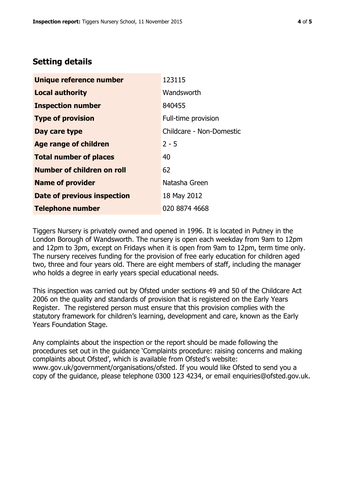# **Setting details**

| Unique reference number       | 123115                   |  |
|-------------------------------|--------------------------|--|
| <b>Local authority</b>        | Wandsworth               |  |
| <b>Inspection number</b>      | 840455                   |  |
| <b>Type of provision</b>      | Full-time provision      |  |
| Day care type                 | Childcare - Non-Domestic |  |
| <b>Age range of children</b>  | $2 - 5$                  |  |
| <b>Total number of places</b> | 40                       |  |
| Number of children on roll    | 62                       |  |
| <b>Name of provider</b>       | Natasha Green            |  |
| Date of previous inspection   | 18 May 2012              |  |
| <b>Telephone number</b>       | 020 8874 4668            |  |

Tiggers Nursery is privately owned and opened in 1996. It is located in Putney in the London Borough of Wandsworth. The nursery is open each weekday from 9am to 12pm and 12pm to 3pm, except on Fridays when it is open from 9am to 12pm, term time only. The nursery receives funding for the provision of free early education for children aged two, three and four years old. There are eight members of staff, including the manager who holds a degree in early years special educational needs.

This inspection was carried out by Ofsted under sections 49 and 50 of the Childcare Act 2006 on the quality and standards of provision that is registered on the Early Years Register. The registered person must ensure that this provision complies with the statutory framework for children's learning, development and care, known as the Early Years Foundation Stage.

Any complaints about the inspection or the report should be made following the procedures set out in the guidance 'Complaints procedure: raising concerns and making complaints about Ofsted', which is available from Ofsted's website: www.gov.uk/government/organisations/ofsted. If you would like Ofsted to send you a copy of the guidance, please telephone 0300 123 4234, or email enquiries@ofsted.gov.uk.